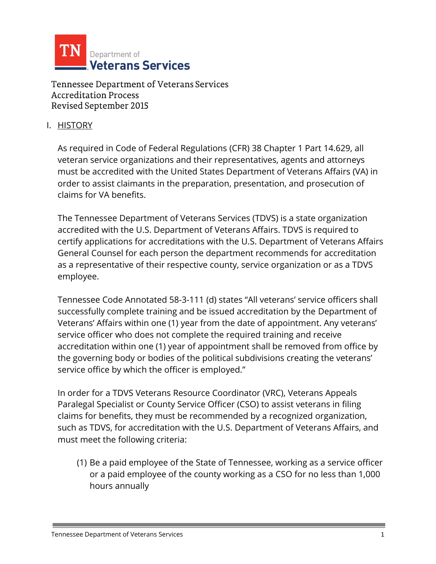

#### I. HISTORY

As required in Code of Federal Regulations (CFR) 38 Chapter 1 Part 14.629, all veteran service organizations and their representatives, agents and attorneys must be accredited with the United States Department of Veterans Affairs (VA) in order to assist claimants in the preparation, presentation, and prosecution of claims for VA benefits.

The Tennessee Department of Veterans Services (TDVS) is a state organization accredited with the U.S. Department of Veterans Affairs. TDVS is required to certify applications for accreditations with the U.S. Department of Veterans Affairs General Counsel for each person the department recommends for accreditation as a representative of their respective county, service organization or as a TDVS employee.

Tennessee Code Annotated 58-3-111 (d) states "All veterans' service officers shall successfully complete training and be issued accreditation by the Department of Veterans' Affairs within one (1) year from the date of appointment. Any veterans' service officer who does not complete the required training and receive accreditation within one (1) year of appointment shall be removed from office by the governing body or bodies of the political subdivisions creating the veterans' service office by which the officer is employed."

In order for a TDVS Veterans Resource Coordinator (VRC), Veterans Appeals Paralegal Specialist or County Service Officer (CSO) to assist veterans in filing claims for benefits, they must be recommended by a recognized organization, such as TDVS, for accreditation with the U.S. Department of Veterans Affairs, and must meet the following criteria:

(1) Be a paid employee of the State of Tennessee, working as a service officer or a paid employee of the county working as a CSO for no less than 1,000 hours annually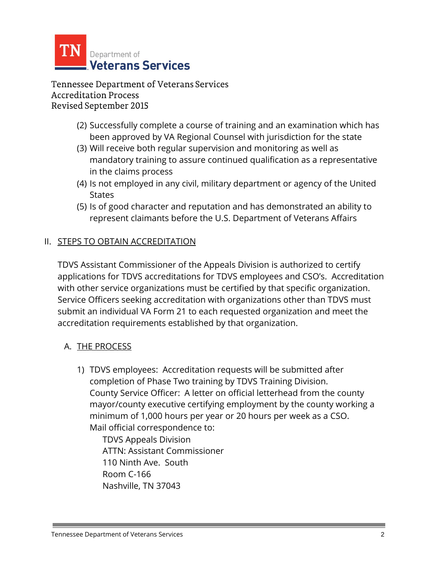

- (2) Successfully complete a course of training and an examination which has been approved by VA Regional Counsel with jurisdiction for the state
- (3) Will receive both regular supervision and monitoring as well as mandatory training to assure continued qualification as a representative in the claims process
- (4) Is not employed in any civil, military department or agency of the United **States**
- (5) Is of good character and reputation and has demonstrated an ability to represent claimants before the U.S. Department of Veterans Affairs

## II. STEPS TO OBTAIN ACCREDITATION

TDVS Assistant Commissioner of the Appeals Division is authorized to certify applications for TDVS accreditations for TDVS employees and CSO's. Accreditation with other service organizations must be certified by that specific organization. Service Officers seeking accreditation with organizations other than TDVS must submit an individual VA Form 21 to each requested organization and meet the accreditation requirements established by that organization.

### A. THE PROCESS

1) TDVS employees: Accreditation requests will be submitted after completion of Phase Two training by TDVS Training Division. County Service Officer: A letter on official letterhead from the county mayor/county executive certifying employment by the county working a minimum of 1,000 hours per year or 20 hours per week as a CSO. Mail official correspondence to:

TDVS Appeals Division ATTN: Assistant Commissioner 110 Ninth Ave. South Room C-166 Nashville, TN 37043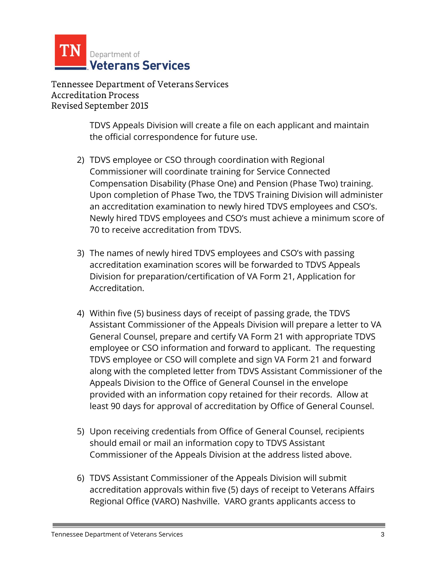

> TDVS Appeals Division will create a file on each applicant and maintain the official correspondence for future use.

- 2) TDVS employee or CSO through coordination with Regional Commissioner will coordinate training for Service Connected Compensation Disability (Phase One) and Pension (Phase Two) training. Upon completion of Phase Two, the TDVS Training Division will administer an accreditation examination to newly hired TDVS employees and CSO's. Newly hired TDVS employees and CSO's must achieve a minimum score of 70 to receive accreditation from TDVS.
- 3) The names of newly hired TDVS employees and CSO's with passing accreditation examination scores will be forwarded to TDVS Appeals Division for preparation/certification of VA Form 21, Application for Accreditation.
- 4) Within five (5) business days of receipt of passing grade, the TDVS Assistant Commissioner of the Appeals Division will prepare a letter to VA General Counsel, prepare and certify VA Form 21 with appropriate TDVS employee or CSO information and forward to applicant. The requesting TDVS employee or CSO will complete and sign VA Form 21 and forward along with the completed letter from TDVS Assistant Commissioner of the Appeals Division to the Office of General Counsel in the envelope provided with an information copy retained for their records. Allow at least 90 days for approval of accreditation by Office of General Counsel.
- 5) Upon receiving credentials from Office of General Counsel, recipients should email or mail an information copy to TDVS Assistant Commissioner of the Appeals Division at the address listed above.
- 6) TDVS Assistant Commissioner of the Appeals Division will submit accreditation approvals within five (5) days of receipt to Veterans Affairs Regional Office (VARO) Nashville. VARO grants applicants access to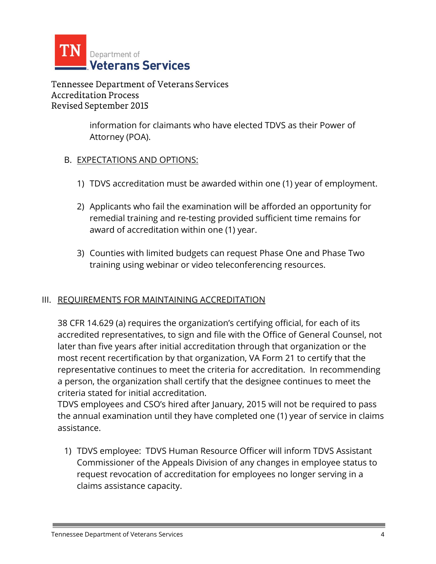

> information for claimants who have elected TDVS as their Power of Attorney (POA).

### B. EXPECTATIONS AND OPTIONS:

- 1) TDVS accreditation must be awarded within one (1) year of employment.
- 2) Applicants who fail the examination will be afforded an opportunity for remedial training and re-testing provided sufficient time remains for award of accreditation within one (1) year.
- 3) Counties with limited budgets can request Phase One and Phase Two training using webinar or video teleconferencing resources.

### III. REQUIREMENTS FOR MAINTAINING ACCREDITATION

38 CFR 14.629 (a) requires the organization's certifying official, for each of its accredited representatives, to sign and file with the Office of General Counsel, not later than five years after initial accreditation through that organization or the most recent recertification by that organization, VA Form 21 to certify that the representative continues to meet the criteria for accreditation. In recommending a person, the organization shall certify that the designee continues to meet the criteria stated for initial accreditation.

TDVS employees and CSO's hired after January, 2015 will not be required to pass the annual examination until they have completed one (1) year of service in claims assistance.

1) TDVS employee: TDVS Human Resource Officer will inform TDVS Assistant Commissioner of the Appeals Division of any changes in employee status to request revocation of accreditation for employees no longer serving in a claims assistance capacity.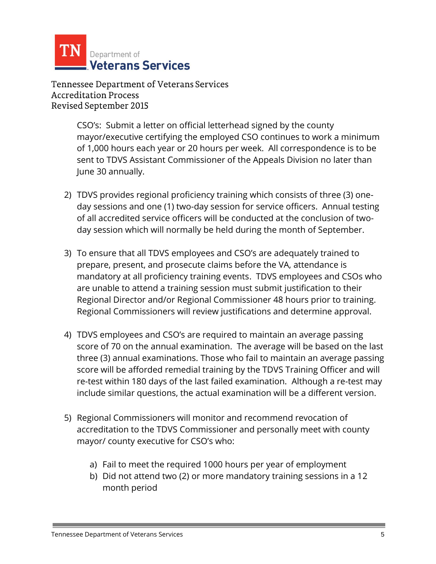

> CSO's: Submit a letter on official letterhead signed by the county mayor/executive certifying the employed CSO continues to work a minimum of 1,000 hours each year or 20 hours per week. All correspondence is to be sent to TDVS Assistant Commissioner of the Appeals Division no later than June 30 annually.

- 2) TDVS provides regional proficiency training which consists of three (3) oneday sessions and one (1) two-day session for service officers. Annual testing of all accredited service officers will be conducted at the conclusion of twoday session which will normally be held during the month of September.
- 3) To ensure that all TDVS employees and CSO's are adequately trained to prepare, present, and prosecute claims before the VA, attendance is mandatory at all proficiency training events. TDVS employees and CSOs who are unable to attend a training session must submit justification to their Regional Director and/or Regional Commissioner 48 hours prior to training. Regional Commissioners will review justifications and determine approval.
- 4) TDVS employees and CSO's are required to maintain an average passing score of 70 on the annual examination. The average will be based on the last three (3) annual examinations. Those who fail to maintain an average passing score will be afforded remedial training by the TDVS Training Officer and will re-test within 180 days of the last failed examination. Although a re-test may include similar questions, the actual examination will be a different version.
- 5) Regional Commissioners will monitor and recommend revocation of accreditation to the TDVS Commissioner and personally meet with county mayor/ county executive for CSO's who:
	- a) Fail to meet the required 1000 hours per year of employment
	- b) Did not attend two (2) or more mandatory training sessions in a 12 month period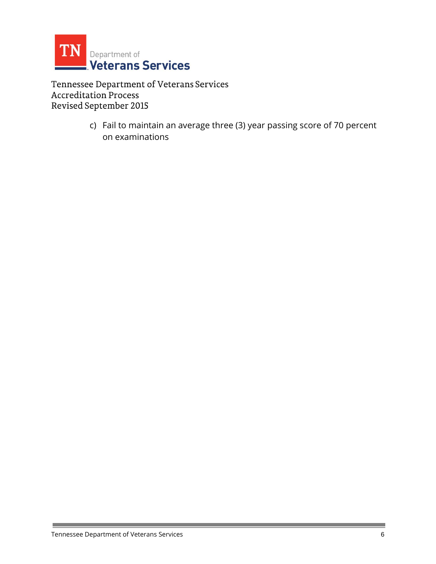

> c) Fail to maintain an average three (3) year passing score of 70 percent on examinations